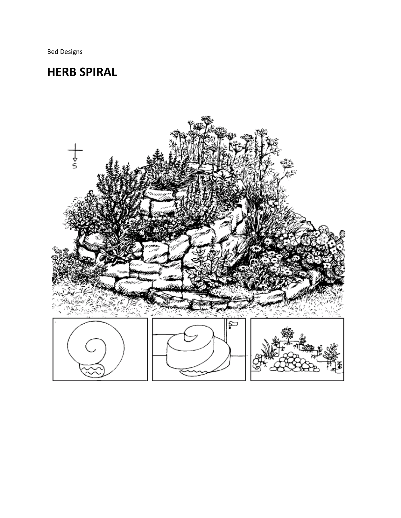Bed Designs

## **HERB SPIRAL**

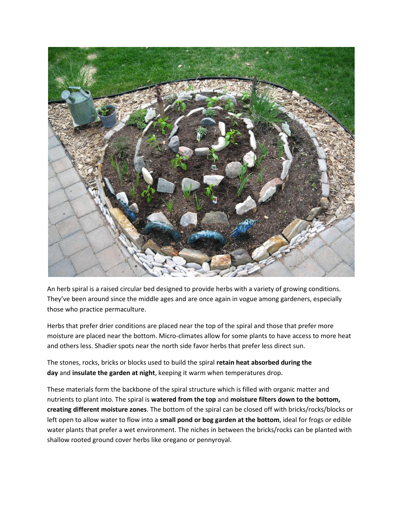

An herb spiral is a raised circular bed designed to provide herbs with a variety of growing conditions. They've been around since the middle ages and are once again in vogue among gardeners, especially those who practice permaculture.

Herbs that prefer drier conditions are placed near the top of the spiral and those that prefer more moisture are placed near the bottom. Micro-climates allow for some plants to have access to more heat and others less. Shadier spots near the north side favor herbs that prefer less direct sun.

The stones, rocks, bricks or blocks used to build the spiral **retain heat absorbed during the day** and **insulate the garden at night**, keeping it warm when temperatures drop.

These materials form the backbone of the spiral structure which is filled with organic matter and nutrients to plant into. The spiral is **watered from the top** and **moisture filters down to the bottom, creating different moisture zones**. The bottom of the spiral can be closed off with bricks/rocks/blocks or left open to allow water to flow into a **small pond or bog garden at the bottom**, ideal for frogs or edible water plants that prefer a wet environment. The niches in between the bricks/rocks can be planted with shallow rooted ground cover herbs like oregano or pennyroyal.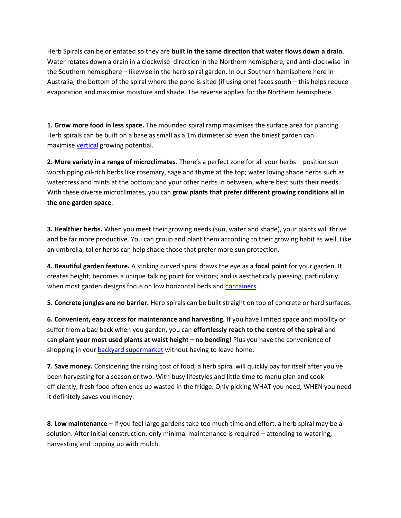Herb Spirals can be orientated so they are **built in the same direction that water flows down a drain**. Water rotates down a drain in a clockwise direction in the Northern hemisphere, and anti-clockwise in the Southern hemisphere – likewise in the herb spiral garden. In our Southern hemisphere here in Australia, the bottom of the spiral where the pond is sited (if using one) faces south – this helps reduce evaporation and maximise moisture and shade. The reverse applies for the Northern hemisphere.

**1. Grow more food in less space.** The mounded spiral ramp maximises the surface area for planting. Herb spirals can be built on a base as small as a 1m diameter so even the tiniest garden can maximise [vertical](http://themicrogardener.com/add-space-with-creative-vertical-gardens-part-1/) growing potential.

**2. More variety in a range of microclimates.** There's a perfect zone for all your herbs – position sun worshipping oil-rich herbs like rosemary, sage and thyme at the top; water loving shade herbs such as watercress and mints at the bottom; and your other herbs in between, where best suits their needs. With these diverse microclimates, you can **grow plants that prefer different growing conditions all in the one garden space**.

**3. Healthier herbs.** When you meet their growing needs (sun, water and shade), your plants will thrive and be far more productive. You can group and plant them according to their growing habit as well. Like an umbrella, taller herbs can help shade those that prefer more sun protection.

**4. Beautiful garden feature.** A striking curved spiral draws the eye as a **focal point** for your garden. It creates height; becomes a unique talking point for visitors; and is aesthetically pleasing, particularly when most garden designs focus on low horizontal beds and [containers.](http://themicrogardener.com/category/container-gardening/)

**5. Concrete jungles are no barrier.** Herb spirals can be built straight on top of concrete or hard surfaces.

**6. Convenient, easy access for maintenance and harvesting.** If you have limited space and mobility or suffer from a bad back when you garden, you can **effortlessly reach to the centre of the spiral** and can **plant your most used plants at waist height – no bending**! Plus you have the convenience of shopping in your [backyard supermarket](http://themicrogardener.com/grow-your-own-groceries/) without having to leave home.

**7. Save money.** Considering the rising cost of food, a herb spiral will quickly pay for itself after you've been harvesting for a season or two. With busy lifestyles and little time to menu plan and cook efficiently, fresh food often ends up wasted in the fridge. Only picking WHAT you need, WHEN you need it definitely saves you money.

**8. Low maintenance** – If you feel large gardens take too much time and effort, a herb spiral may be a solution. After initial construction, only minimal maintenance is required – attending to watering, harvesting and topping up with mulch.